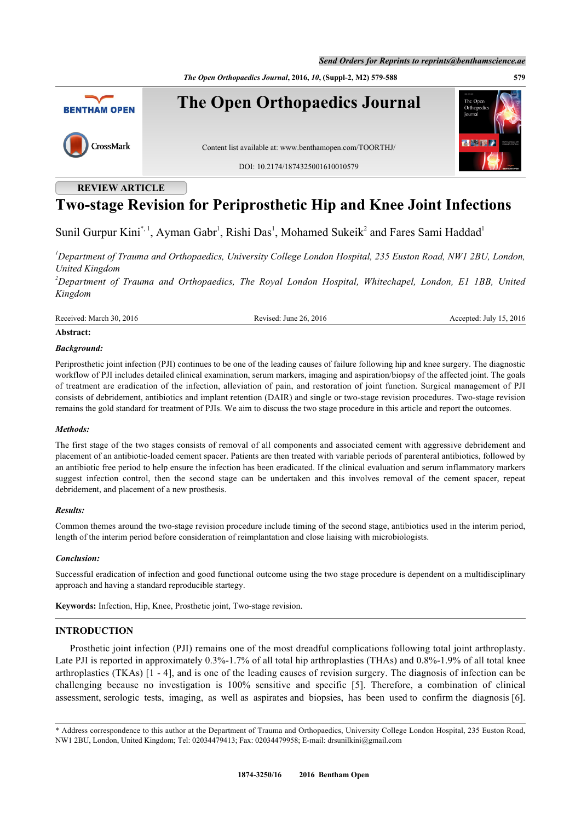*The Open Orthopaedics Journal***, 2016,** *10***, (Suppl-2, M2) 579-588 579**



## **REVIEW ARTICLE**

# **Two-stage Revision for Periprosthetic Hip and Knee Joint Infections**

Sunil Gurpur Kini[\\*](#page-0-0),<sup>[1](#page-0-1)</sup>, Ayman Gabr<sup>1</sup>, Rishi Das<sup>1</sup>, Mohamed Sukeik<sup>[2](#page-0-2)</sup> and Fares Sami Haddad<sup>1</sup>

<span id="page-0-1"></span>*<sup>1</sup>Department of Trauma and Orthopaedics, University College London Hospital, 235 Euston Road, NW1 2BU, London, United Kingdom*

<span id="page-0-2"></span>*<sup>2</sup>Department of Trauma and Orthopaedics, The Royal London Hospital, Whitechapel, London, E1 1BB, United Kingdom*

Received: March 30, 2016 Revised: June 26, 2016 Revised: July 15, 2016 Accepted: July 15, 2016

#### **Abstract:**

#### *Background:*

Periprosthetic joint infection (PJI) continues to be one of the leading causes of failure following hip and knee surgery. The diagnostic workflow of PJI includes detailed clinical examination, serum markers, imaging and aspiration/biopsy of the affected joint. The goals of treatment are eradication of the infection, alleviation of pain, and restoration of joint function. Surgical management of PJI consists of debridement, antibiotics and implant retention (DAIR) and single or two-stage revision procedures. Two-stage revision remains the gold standard for treatment of PJIs. We aim to discuss the two stage procedure in this article and report the outcomes.

#### *Methods:*

The first stage of the two stages consists of removal of all components and associated cement with aggressive debridement and placement of an antibiotic-loaded cement spacer. Patients are then treated with variable periods of parenteral antibiotics, followed by an antibiotic free period to help ensure the infection has been eradicated. If the clinical evaluation and serum inflammatory markers suggest infection control, then the second stage can be undertaken and this involves removal of the cement spacer, repeat debridement, and placement of a new prosthesis.

#### *Results:*

Common themes around the two-stage revision procedure include timing of the second stage, antibiotics used in the interim period, length of the interim period before consideration of reimplantation and close liaising with microbiologists.

#### *Conclusion:*

Successful eradication of infection and good functional outcome using the two stage procedure is dependent on a multidisciplinary approach and having a standard reproducible startegy.

**Keywords:** Infection, Hip, Knee, Prosthetic joint, Two-stage revision.

#### **INTRODUCTION**

Prosthetic joint infection (PJI) remains one of the most dreadful complications following total joint arthroplasty. Late PJI is reported in approximately 0.3%-1.7% of all total hip arthroplasties (THAs) and 0.8%-1.9% of all total knee arthroplasties (TKAs) [[1](#page--1-0) - [4\]](#page-5-0), and is one of the leading causes of revision surgery. The diagnosis of infection can be challenging because no investigation is 100% sensitive and specific[[5](#page-5-1)]. Therefore, a combination of clinical assessment, serologic tests, imaging, as well as aspirates and biopsies, has been used to confirm the diagnosis [[6\]](#page-5-2).

<span id="page-0-0"></span><sup>\*</sup> Address correspondence to this author at the Department of Trauma and Orthopaedics, University College London Hospital, 235 Euston Road, NW1 2BU, London, United Kingdom; Tel: 02034479413; Fax: 02034479958; E-mail: [drsunilkini@gmail.com](mailto:drsunilkini@gmail.com)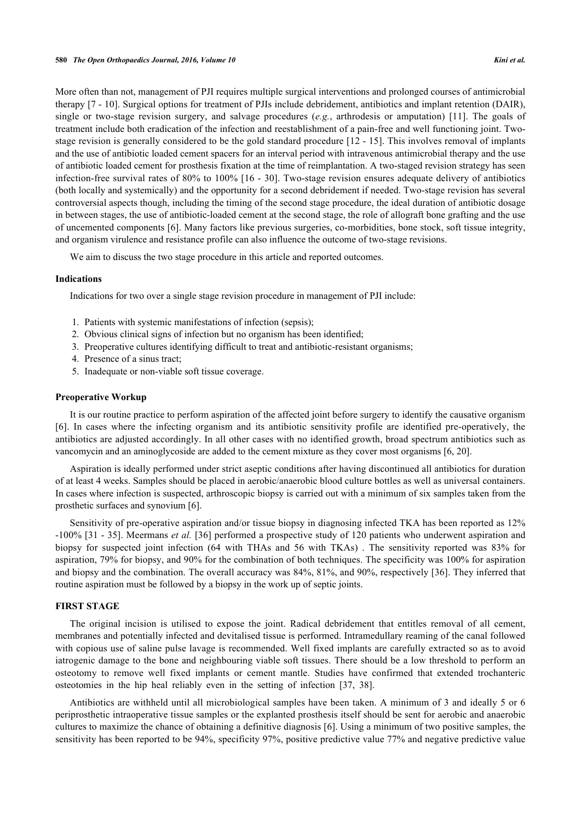More often than not, management of PJI requires multiple surgical interventions and prolonged courses of antimicrobial therapy [\[7](#page-5-3) - [10](#page-6-0)]. Surgical options for treatment of PJIs include debridement, antibiotics and implant retention (DAIR), single or two-stage revision surgery, and salvage procedures (*e.g.*, arthrodesis or amputation)[[11](#page-6-1)]. The goals of treatment include both eradication of the infection and reestablishment of a pain-free and well functioning joint. Twostage revision is generally considered to be the gold standard procedure [[12](#page-6-2) - [15](#page-6-3)]. This involves removal of implants and the use of antibiotic loaded cement spacers for an interval period with intravenous antimicrobial therapy and the use of antibiotic loaded cement for prosthesis fixation at the time of reimplantation. A two-staged revision strategy has seen infection-free survival rates of 80% to 100% [[16](#page-6-4) - [30](#page-7-0)]. Two-stage revision ensures adequate delivery of antibiotics (both locally and systemically) and the opportunity for a second debridement if needed. Two-stage revision has several controversial aspects though, including the timing of the second stage procedure, the ideal duration of antibiotic dosage in between stages, the use of antibiotic-loaded cement at the second stage, the role of allograft bone grafting and the use of uncemented components [[6](#page-5-2)]. Many factors like previous surgeries, co-morbidities, bone stock, soft tissue integrity, and organism virulence and resistance profile can also influence the outcome of two-stage revisions.

We aim to discuss the two stage procedure in this article and reported outcomes.

#### **Indications**

Indications for two over a single stage revision procedure in management of PJI include:

- 1. Patients with systemic manifestations of infection (sepsis);
- 2. Obvious clinical signs of infection but no organism has been identified;
- 3. Preoperative cultures identifying difficult to treat and antibiotic-resistant organisms;
- 4. Presence of a sinus tract;
- 5. Inadequate or non-viable soft tissue coverage.

#### **Preoperative Workup**

It is our routine practice to perform aspiration of the affected joint before surgery to identify the causative organism [\[6](#page-5-2)]. In cases where the infecting organism and its antibiotic sensitivity profile are identified pre-operatively, the antibiotics are adjusted accordingly. In all other cases with no identified growth, broad spectrum antibiotics such as vancomycin and an aminoglycoside are added to the cement mixture as they cover most organisms [\[6](#page-5-2), [20](#page-6-5)].

Aspiration is ideally performed under strict aseptic conditions after having discontinued all antibiotics for duration of at least 4 weeks. Samples should be placed in aerobic/anaerobic blood culture bottles as well as universal containers. In cases where infection is suspected, arthroscopic biopsy is carried out with a minimum of six samples taken from the prosthetic surfaces and synovium [\[6](#page-5-2)].

Sensitivity of pre-operative aspiration and/or tissue biopsy in diagnosing infected TKA has been reported as 12% -100% [\[31](#page-7-1) - [35](#page-7-2)]. Meermans *et al.* [\[36](#page-7-3)] performed a prospective study of 120 patients who underwent aspiration and biopsy for suspected joint infection (64 with THAs and 56 with TKAs) . The sensitivity reported was 83% for aspiration, 79% for biopsy, and 90% for the combination of both techniques. The specificity was 100% for aspiration and biopsy and the combination. The overall accuracy was 84%, 81%, and 90%, respectively [[36\]](#page-7-3). They inferred that routine aspiration must be followed by a biopsy in the work up of septic joints.

#### **FIRST STAGE**

The original incision is utilised to expose the joint. Radical debridement that entitles removal of all cement, membranes and potentially infected and devitalised tissue is performed. Intramedullary reaming of the canal followed with copious use of saline pulse lavage is recommended. Well fixed implants are carefully extracted so as to avoid iatrogenic damage to the bone and neighbouring viable soft tissues. There should be a low threshold to perform an osteotomy to remove well fixed implants or cement mantle. Studies have confirmed that extended trochanteric osteotomies in the hip heal reliably even in the setting of infection [\[37](#page-7-4), [38](#page-7-5)].

Antibiotics are withheld until all microbiological samples have been taken. A minimum of 3 and ideally 5 or 6 periprosthetic intraoperative tissue samples or the explanted prosthesis itself should be sent for aerobic and anaerobic cultures to maximize the chance of obtaining a definitive diagnosis [\[6](#page-5-2)]. Using a minimum of two positive samples, the sensitivity has been reported to be 94%, specificity 97%, positive predictive value 77% and negative predictive value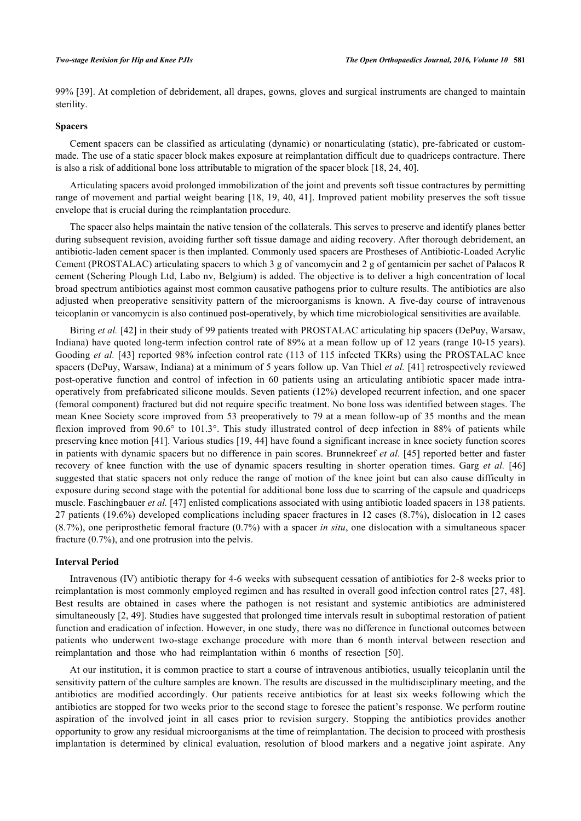99% [[39\]](#page-7-6). At completion of debridement, all drapes, gowns, gloves and surgical instruments are changed to maintain sterility.

### **Spacers**

Cement spacers can be classified as articulating (dynamic) or nonarticulating (static), pre-fabricated or custommade. The use of a static spacer block makes exposure at reimplantation difficult due to quadriceps contracture. There is also a risk of additional bone loss attributable to migration of the spacer block [[18,](#page-6-6) [24,](#page-6-7) [40\]](#page-7-7).

Articulating spacers avoid prolonged immobilization of the joint and prevents soft tissue contractures by permitting range of movement and partial weight bearing [[18,](#page-6-6) [19](#page-6-8), [40](#page-7-7), [41\]](#page-7-8). Improved patient mobility preserves the soft tissue envelope that is crucial during the reimplantation procedure.

The spacer also helps maintain the native tension of the collaterals. This serves to preserve and identify planes better during subsequent revision, avoiding further soft tissue damage and aiding recovery. After thorough debridement, an antibiotic-laden cement spacer is then implanted. Commonly used spacers are Prostheses of Antibiotic-Loaded Acrylic Cement (PROSTALAC) articulating spacers to which 3 g of vancomycin and 2 g of gentamicin per sachet of Palacos R cement (Schering Plough Ltd, Labo nv, Belgium) is added. The objective is to deliver a high concentration of local broad spectrum antibiotics against most common causative pathogens prior to culture results. The antibiotics are also adjusted when preoperative sensitivity pattern of the microorganisms is known. A five-day course of intravenous teicoplanin or vancomycin is also continued post-operatively, by which time microbiological sensitivities are available.

Biring *et al.* [[42\]](#page-7-9) in their study of 99 patients treated with PROSTALAC articulating hip spacers (DePuy, Warsaw, Indiana) have quoted long-term infection control rate of 89% at a mean follow up of 12 years (range 10-15 years). Gooding *et al.* [[43\]](#page-7-10) reported 98% infection control rate (113 of 115 infected TKRs) using the PROSTALAC knee spacers (DePuy, Warsaw, Indiana) at a minimum of 5 years follow up. Van Thiel *et al.* [\[41](#page-7-8)] retrospectively reviewed post-operative function and control of infection in 60 patients using an articulating antibiotic spacer made intraoperatively from prefabricated silicone moulds. Seven patients (12%) developed recurrent infection, and one spacer (femoral component) fractured but did not require specific treatment. No bone loss was identified between stages. The mean Knee Society score improved from 53 preoperatively to 79 at a mean follow-up of 35 months and the mean flexion improved from 90.6° to 101.3°. This study illustrated control of deep infection in 88% of patients while preserving knee motion [\[41](#page-7-8)]. Various studies [[19,](#page-6-8) [44](#page-7-11)] have found a significant increase in knee society function scores in patients with dynamic spacers but no difference in pain scores. Brunnekreef *et al.* [[45](#page-7-12)] reported better and faster recovery of knee function with the use of dynamic spacers resulting in shorter operation times. Garg *et al.* [[46](#page-7-13)] suggested that static spacers not only reduce the range of motion of the knee joint but can also cause difficulty in exposure during second stage with the potential for additional bone loss due to scarring of the capsule and quadriceps muscle. Faschingbauer *et al.* [\[47](#page-7-14)] enlisted complications associated with using antibiotic loaded spacers in 138 patients. 27 patients (19.6%) developed complications including spacer fractures in 12 cases (8.7%), dislocation in 12 cases (8.7%), one periprosthetic femoral fracture (0.7%) with a spacer *in situ*, one dislocation with a simultaneous spacer fracture (0.7%), and one protrusion into the pelvis.

#### **Interval Period**

Intravenous (IV) antibiotic therapy for 4-6 weeks with subsequent cessation of antibiotics for 2-8 weeks prior to reimplantation is most commonly employed regimen and has resulted in overall good infection control rates [[27](#page-6-9), [48\]](#page-7-15). Best results are obtained in cases where the pathogen is not resistant and systemic antibiotics are administered simultaneously [\[2](#page-5-4), [49\]](#page-8-0). Studies have suggested that prolonged time intervals result in suboptimal restoration of patient function and eradication of infection. However, in one study, there was no difference in functional outcomes between patients who underwent two-stage exchange procedure with more than 6 month interval between resection and reimplantation and those who had reimplantation within 6 months of resection[[50\]](#page-8-1).

At our institution, it is common practice to start a course of intravenous antibiotics, usually teicoplanin until the sensitivity pattern of the culture samples are known. The results are discussed in the multidisciplinary meeting, and the antibiotics are modified accordingly. Our patients receive antibiotics for at least six weeks following which the antibiotics are stopped for two weeks prior to the second stage to foresee the patient's response. We perform routine aspiration of the involved joint in all cases prior to revision surgery. Stopping the antibiotics provides another opportunity to grow any residual microorganisms at the time of reimplantation. The decision to proceed with prosthesis implantation is determined by clinical evaluation, resolution of blood markers and a negative joint aspirate. Any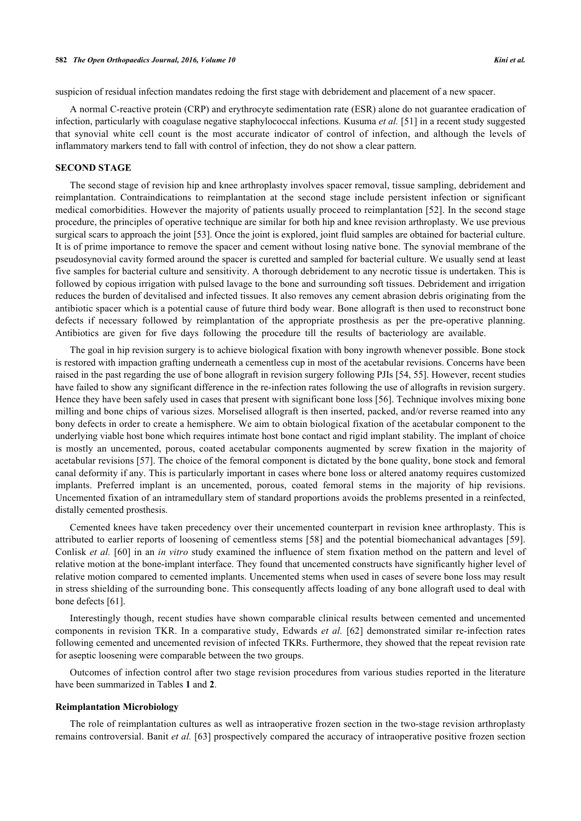suspicion of residual infection mandates redoing the first stage with debridement and placement of a new spacer.

A normal C-reactive protein (CRP) and erythrocyte sedimentation rate (ESR) alone do not guarantee eradication of infection, particularly with coagulase negative staphylococcal infections. Kusuma *et al.* [\[51](#page-8-2)] in a recent study suggested that synovial white cell count is the most accurate indicator of control of infection, and although the levels of inflammatory markers tend to fall with control of infection, they do not show a clear pattern.

### **SECOND STAGE**

The second stage of revision hip and knee arthroplasty involves spacer removal, tissue sampling, debridement and reimplantation. Contraindications to reimplantation at the second stage include persistent infection or significant medical comorbidities. However the majority of patients usually proceed to reimplantation [[52\]](#page-8-3). In the second stage procedure, the principles of operative technique are similar for both hip and knee revision arthroplasty. We use previous surgical scars to approach the joint [[53\]](#page-8-4). Once the joint is explored, joint fluid samples are obtained for bacterial culture. It is of prime importance to remove the spacer and cement without losing native bone. The synovial membrane of the pseudosynovial cavity formed around the spacer is curetted and sampled for bacterial culture. We usually send at least five samples for bacterial culture and sensitivity. A thorough debridement to any necrotic tissue is undertaken. This is followed by copious irrigation with pulsed lavage to the bone and surrounding soft tissues. Debridement and irrigation reduces the burden of devitalised and infected tissues. It also removes any cement abrasion debris originating from the antibiotic spacer which is a potential cause of future third body wear. Bone allograft is then used to reconstruct bone defects if necessary followed by reimplantation of the appropriate prosthesis as per the pre-operative planning. Antibiotics are given for five days following the procedure till the results of bacteriology are available.

The goal in hip revision surgery is to achieve biological fixation with bony ingrowth whenever possible. Bone stock is restored with impaction grafting underneath a cementless cup in most of the acetabular revisions. Concerns have been raised in the past regarding the use of bone allograft in revision surgery following PJIs [[54,](#page-8-5) [55\]](#page-8-6). However, recent studies have failed to show any significant difference in the re-infection rates following the use of allografts in revision surgery. Hence they have been safely used in cases that present with significant bone loss [[56](#page-8-7)]. Technique involves mixing bone milling and bone chips of various sizes. Morselised allograft is then inserted, packed, and/or reverse reamed into any bony defects in order to create a hemisphere. We aim to obtain biological fixation of the acetabular component to the underlying viable host bone which requires intimate host bone contact and rigid implant stability. The implant of choice is mostly an uncemented, porous, coated acetabular components augmented by screw fixation in the majority of acetabular revisions [\[57](#page-8-8)]. The choice of the femoral component is dictated by the bone quality, bone stock and femoral canal deformity if any. This is particularly important in cases where bone loss or altered anatomy requires customized implants. Preferred implant is an uncemented, porous, coated femoral stems in the majority of hip revisions. Uncemented fixation of an intramedullary stem of standard proportions avoids the problems presented in a reinfected, distally cemented prosthesis.

Cemented knees have taken precedency over their uncemented counterpart in revision knee arthroplasty. This is attributed to earlier reports of loosening of cementless stems [\[58](#page-8-9)] and the potential biomechanical advantages [\[59\]](#page-8-10). Conlisk *et al.* [\[60\]](#page-8-11) in an *in vitro* study examined the influence of stem fixation method on the pattern and level of relative motion at the bone-implant interface. They found that uncemented constructs have significantly higher level of relative motion compared to cemented implants. Uncemented stems when used in cases of severe bone loss may result in stress shielding of the surrounding bone. This consequently affects loading of any bone allograft used to deal with bone defects [[61\]](#page-8-12).

Interestingly though, recent studies have shown comparable clinical results between cemented and uncemented components in revision TKR. In a comparative study, Edwards *et al.* [[62\]](#page-8-13) demonstrated similar re-infection rates following cemented and uncemented revision of infected TKRs. Furthermore, they showed that the repeat revision rate for aseptic loosening were comparable between the two groups.

Outcomes of infection control after two stage revision procedures from various studies reported in the literature have been summarized in Tables **[1](#page-4-0)** and **[2](#page-4-1)**.

#### **Reimplantation Microbiology**

The role of reimplantation cultures as well as intraoperative frozen section in the two-stage revision arthroplasty remains controversial. Banit *et al.* [[63\]](#page-8-14) prospectively compared the accuracy of intraoperative positive frozen section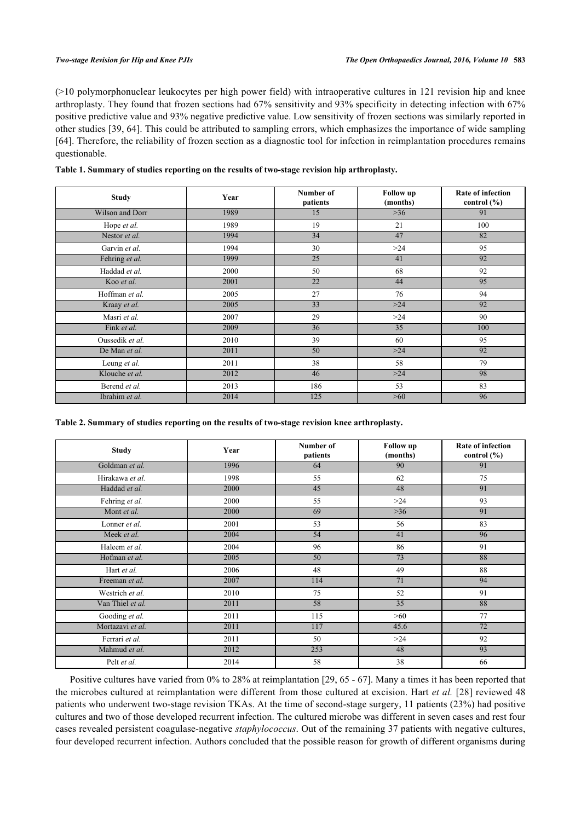(>10 polymorphonuclear leukocytes per high power field) with intraoperative cultures in 121 revision hip and knee arthroplasty. They found that frozen sections had 67% sensitivity and 93% specificity in detecting infection with 67% positive predictive value and 93% negative predictive value. Low sensitivity of frozen sections was similarly reported in other studies [[39,](#page-7-6) [64](#page-8-15)]. This could be attributed to sampling errors, which emphasizes the importance of wide sampling [\[64](#page-8-15)]. Therefore, the reliability of frozen section as a diagnostic tool for infection in reimplantation procedures remains questionable.

| <b>Study</b>    | Year | Number of<br>patients | <b>Follow</b> up<br>(months) | <b>Rate of infection</b><br>control $(\% )$ |
|-----------------|------|-----------------------|------------------------------|---------------------------------------------|
| Wilson and Dorr | 1989 | 15                    | $>36$                        | 91                                          |
| Hope et al.     | 1989 | 19                    | 21                           | 100                                         |
| Nestor et al.   | 1994 | 34                    | 47                           | 82                                          |
| Garvin et al.   | 1994 | 30                    | >24                          | 95                                          |
| Fehring et al.  | 1999 | $\overline{25}$       | 41                           | 92                                          |
| Haddad et al.   | 2000 | 50                    | 68                           | 92                                          |
| Koo et al.      | 2001 | 22                    | 44                           | 95                                          |
| Hoffman et al.  | 2005 | 27                    | 76                           | 94                                          |
| Kraay et al.    | 2005 | 33                    | $>24$                        | 92                                          |
| Masri et al.    | 2007 | 29                    | >24                          | 90                                          |
| Fink et al.     | 2009 | 36                    | 35                           | 100                                         |
| Oussedik et al. | 2010 | 39                    | 60                           | 95                                          |
| De Man et al.   | 2011 | 50                    | $>24$                        | 92                                          |
| Leung et al.    | 2011 | 38                    | 58                           | 79                                          |
| Klouche et al.  | 2012 | 46                    | $>24$                        | 98                                          |
| Berend et al.   | 2013 | 186                   | 53                           | 83                                          |
| Ibrahim et al.  | 2014 | 125                   | >60                          | 96                                          |

<span id="page-4-0"></span>

| Table 1. Summary of studies reporting on the results of two-stage revision hip arthroplasty. |  |  |  |  |  |  |
|----------------------------------------------------------------------------------------------|--|--|--|--|--|--|
|----------------------------------------------------------------------------------------------|--|--|--|--|--|--|

<span id="page-4-1"></span>**Table 2. Summary of studies reporting on the results of two-stage revision knee arthroplasty.**

| <b>Study</b>     | Year | Number of<br>patients | <b>Follow</b> up<br>(months) | <b>Rate of infection</b><br>control $(\% )$ |
|------------------|------|-----------------------|------------------------------|---------------------------------------------|
| Goldman et al.   | 1996 | 64                    | 90                           | 91                                          |
| Hirakawa et al.  | 1998 | 55                    | 62                           | 75                                          |
| Haddad et al.    | 2000 | 45                    | 48                           | 91                                          |
| Fehring et al.   | 2000 | 55                    | $>24$                        | 93                                          |
| Mont et al.      | 2000 | 69                    | $>36$                        | 91                                          |
| Lonner et al.    | 2001 | 53                    | 56                           | 83                                          |
| Meek et al.      | 2004 | 54                    | 41                           | 96                                          |
| Haleem et al.    | 2004 | 96                    | 86                           | 91                                          |
| Hofman et al.    | 2005 | 50                    | 73                           | 88                                          |
| Hart et al.      | 2006 | 48                    | 49                           | 88                                          |
| Freeman et al.   | 2007 | 114                   | 71                           | 94                                          |
| Westrich et al.  | 2010 | 75                    | 52                           | 91                                          |
| Van Thiel et al. | 2011 | 58                    | 35                           | 88                                          |
| Gooding et al.   | 2011 | 115                   | >60                          | 77                                          |
| Mortazavi et al. | 2011 | 117                   | 45.6                         | 72                                          |
| Ferrari et al.   | 2011 | 50                    | >24                          | 92                                          |
| Mahmud et al.    | 2012 | 253                   | 48                           | 93                                          |
| Pelt et al.      | 2014 | 58                    | 38                           | 66                                          |

Positive cultures have varied from 0% to 28% at reimplantation [\[29](#page-7-16), [65](#page-8-16) - [67\]](#page-8-17). Many a times it has been reported that the microbes cultured at reimplantation were different from those cultured at excision. Hart *et al.* [[28](#page-6-10)] reviewed 48 patients who underwent two-stage revision TKAs. At the time of second-stage surgery, 11 patients (23%) had positive cultures and two of those developed recurrent infection. The cultured microbe was different in seven cases and rest four cases revealed persistent coagulase-negative *staphylococcus*. Out of the remaining 37 patients with negative cultures, four developed recurrent infection. Authors concluded that the possible reason for growth of different organisms during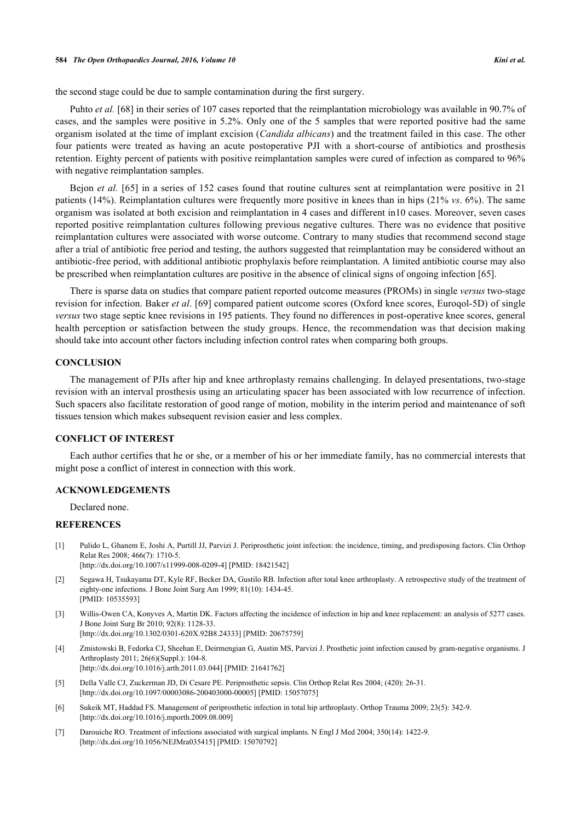the second stage could be due to sample contamination during the first surgery.

Puhto *et al.* [[68\]](#page-8-18) in their series of 107 cases reported that the reimplantation microbiology was available in 90.7% of cases, and the samples were positive in 5.2%. Only one of the 5 samples that were reported positive had the same organism isolated at the time of implant excision (*Candida albicans*) and the treatment failed in this case. The other four patients were treated as having an acute postoperative PJI with a short-course of antibiotics and prosthesis retention. Eighty percent of patients with positive reimplantation samples were cured of infection as compared to 96% with negative reimplantation samples.

Bejon *et al.* [\[65](#page-8-16)] in a series of 152 cases found that routine cultures sent at reimplantation were positive in 21 patients (14%). Reimplantation cultures were frequently more positive in knees than in hips (21% *vs*. 6%). The same organism was isolated at both excision and reimplantation in 4 cases and different in10 cases. Moreover, seven cases reported positive reimplantation cultures following previous negative cultures. There was no evidence that positive reimplantation cultures were associated with worse outcome. Contrary to many studies that recommend second stage after a trial of antibiotic free period and testing, the authors suggested that reimplantation may be considered without an antibiotic-free period, with additional antibiotic prophylaxis before reimplantation. A limited antibiotic course may also be prescribed when reimplantation cultures are positive in the absence of clinical signs of ongoing infection [\[65](#page-8-16)].

There is sparse data on studies that compare patient reported outcome measures (PROMs) in single *versus* two-stage revision for infection. Baker *et al*. [\[69](#page-9-0)] compared patient outcome scores (Oxford knee scores, Euroqol-5D) of single *versus* two stage septic knee revisions in 195 patients. They found no differences in post-operative knee scores, general health perception or satisfaction between the study groups. Hence, the recommendation was that decision making should take into account other factors including infection control rates when comparing both groups.

### **CONCLUSION**

The management of PJIs after hip and knee arthroplasty remains challenging. In delayed presentations, two-stage revision with an interval prosthesis using an articulating spacer has been associated with low recurrence of infection. Such spacers also facilitate restoration of good range of motion, mobility in the interim period and maintenance of soft tissues tension which makes subsequent revision easier and less complex.

#### **CONFLICT OF INTEREST**

Each author certifies that he or she, or a member of his or her immediate family, has no commercial interests that might pose a conflict of interest in connection with this work.

#### **ACKNOWLEDGEMENTS**

Declared none.

#### **REFERENCES**

- [1] Pulido L, Ghanem E, Joshi A, Purtill JJ, Parvizi J. Periprosthetic joint infection: the incidence, timing, and predisposing factors. Clin Orthop Relat Res 2008; 466(7): 1710-5. [\[http://dx.doi.org/10.1007/s11999-008-0209-4\]](http://dx.doi.org/10.1007/s11999-008-0209-4) [PMID: [18421542](http://www.ncbi.nlm.nih.gov/pubmed/18421542)]
- <span id="page-5-4"></span>[2] Segawa H, Tsukayama DT, Kyle RF, Becker DA, Gustilo RB. Infection after total knee arthroplasty. A retrospective study of the treatment of eighty-one infections. J Bone Joint Surg Am 1999; 81(10): 1434-45. [PMID: [10535593\]](http://www.ncbi.nlm.nih.gov/pubmed/10535593)
- [3] Willis-Owen CA, Konyves A, Martin DK. Factors affecting the incidence of infection in hip and knee replacement: an analysis of 5277 cases. J Bone Joint Surg Br 2010; 92(8): 1128-33. [\[http://dx.doi.org/10.1302/0301-620X.92B8.24333\]](http://dx.doi.org/10.1302/0301-620X.92B8.24333) [PMID: [20675759](http://www.ncbi.nlm.nih.gov/pubmed/20675759)]
- <span id="page-5-0"></span>[4] Zmistowski B, Fedorka CJ, Sheehan E, Deirmengian G, Austin MS, Parvizi J. Prosthetic joint infection caused by gram-negative organisms. J Arthroplasty 2011; 26(6)(Suppl.): 104-8. [\[http://dx.doi.org/10.1016/j.arth.2011.03.044](http://dx.doi.org/10.1016/j.arth.2011.03.044)] [PMID: [21641762](http://www.ncbi.nlm.nih.gov/pubmed/21641762)]
- <span id="page-5-1"></span>[5] Della Valle CJ, Zuckerman JD, Di Cesare PE. Periprosthetic sepsis. Clin Orthop Relat Res 2004; (420): 26-31. [\[http://dx.doi.org/10.1097/00003086-200403000-00005](http://dx.doi.org/10.1097/00003086-200403000-00005)] [PMID: [15057075\]](http://www.ncbi.nlm.nih.gov/pubmed/15057075)
- <span id="page-5-2"></span>[6] Sukeik MT, Haddad FS. Management of periprosthetic infection in total hip arthroplasty. Orthop Trauma 2009; 23(5): 342-9. [\[http://dx.doi.org/10.1016/j.mporth.2009.08.009](http://dx.doi.org/10.1016/j.mporth.2009.08.009)]
- <span id="page-5-3"></span>[7] Darouiche RO. Treatment of infections associated with surgical implants. N Engl J Med 2004; 350(14): 1422-9. [\[http://dx.doi.org/10.1056/NEJMra035415\]](http://dx.doi.org/10.1056/NEJMra035415) [PMID: [15070792](http://www.ncbi.nlm.nih.gov/pubmed/15070792)]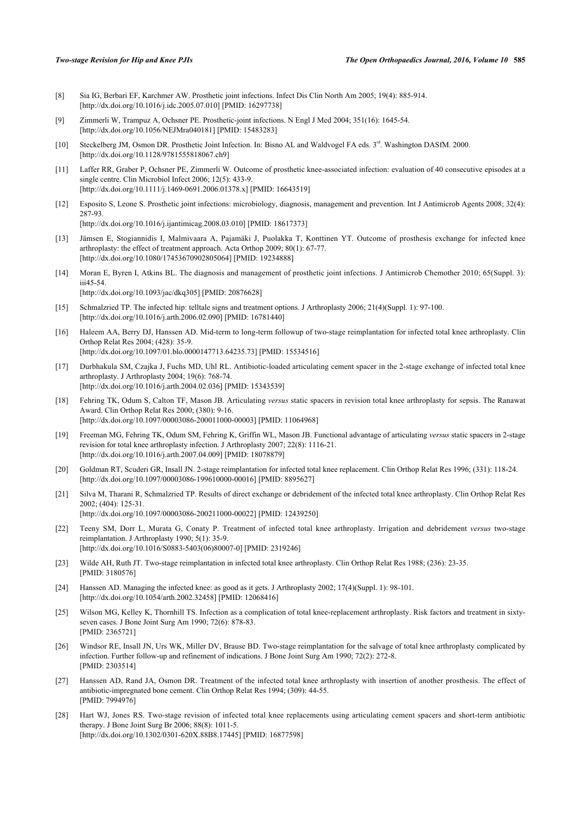- [8] Sia IG, Berbari EF, Karchmer AW. Prosthetic joint infections. Infect Dis Clin North Am 2005; 19(4): 885-914. [\[http://dx.doi.org/10.1016/j.idc.2005.07.010\]](http://dx.doi.org/10.1016/j.idc.2005.07.010) [PMID: [16297738](http://www.ncbi.nlm.nih.gov/pubmed/16297738)]
- [9] Zimmerli W, Trampuz A, Ochsner PE. Prosthetic-joint infections. N Engl J Med 2004; 351(16): 1645-54. [\[http://dx.doi.org/10.1056/NEJMra040181\]](http://dx.doi.org/10.1056/NEJMra040181) [PMID: [15483283](http://www.ncbi.nlm.nih.gov/pubmed/15483283)]
- <span id="page-6-0"></span>[10] Steckelberg JM, Osmon DR. Prosthetic Joint Infection. In: Bisno AL and Waldvogel FA eds. 3rd. Washington DASfM. 2000. [\[http://dx.doi.org/10.1128/9781555818067.ch9](http://dx.doi.org/10.1128/9781555818067.ch9)]
- <span id="page-6-1"></span>[11] Laffer RR, Graber P, Ochsner PE, Zimmerli W. Outcome of prosthetic knee-associated infection: evaluation of 40 consecutive episodes at a single centre. Clin Microbiol Infect 2006; 12(5): 433-9. [\[http://dx.doi.org/10.1111/j.1469-0691.2006.01378.x\]](http://dx.doi.org/10.1111/j.1469-0691.2006.01378.x) [PMID: [16643519](http://www.ncbi.nlm.nih.gov/pubmed/16643519)]
- <span id="page-6-2"></span>[12] Esposito S, Leone S. Prosthetic joint infections: microbiology, diagnosis, management and prevention. Int J Antimicrob Agents 2008; 32(4): 287-93.

[\[http://dx.doi.org/10.1016/j.ijantimicag.2008.03.010](http://dx.doi.org/10.1016/j.ijantimicag.2008.03.010)] [PMID: [18617373\]](http://www.ncbi.nlm.nih.gov/pubmed/18617373)

- [13] Jämsen E, Stogiannidis I, Malmivaara A, Pajamäki J, Puolakka T, Konttinen YT. Outcome of prosthesis exchange for infected knee arthroplasty: the effect of treatment approach. Acta Orthop 2009; 80(1): 67-77. [\[http://dx.doi.org/10.1080/17453670902805064\]](http://dx.doi.org/10.1080/17453670902805064) [PMID: [19234888](http://www.ncbi.nlm.nih.gov/pubmed/19234888)]
- [14] Moran E, Byren I, Atkins BL. The diagnosis and management of prosthetic joint infections. J Antimicrob Chemother 2010; 65(Suppl. 3): iii45-54.

[\[http://dx.doi.org/10.1093/jac/dkq305](http://dx.doi.org/10.1093/jac/dkq305)] [PMID: [20876628\]](http://www.ncbi.nlm.nih.gov/pubmed/20876628)

- <span id="page-6-3"></span>[15] Schmalzried TP. The infected hip: telltale signs and treatment options. J Arthroplasty 2006; 21(4)(Suppl. 1): 97-100. [\[http://dx.doi.org/10.1016/j.arth.2006.02.090](http://dx.doi.org/10.1016/j.arth.2006.02.090)] [PMID: [16781440](http://www.ncbi.nlm.nih.gov/pubmed/16781440)]
- <span id="page-6-4"></span>[16] Haleem AA, Berry DJ, Hanssen AD. Mid-term to long-term followup of two-stage reimplantation for infected total knee arthroplasty. Clin Orthop Relat Res 2004; (428): 35-9. [\[http://dx.doi.org/10.1097/01.blo.0000147713.64235.73](http://dx.doi.org/10.1097/01.blo.0000147713.64235.73)] [PMID: [15534516\]](http://www.ncbi.nlm.nih.gov/pubmed/15534516)
- [17] Durbhakula SM, Czajka J, Fuchs MD, Uhl RL. Antibiotic-loaded articulating cement spacer in the 2-stage exchange of infected total knee arthroplasty. J Arthroplasty 2004; 19(6): 768-74. [\[http://dx.doi.org/10.1016/j.arth.2004.02.036](http://dx.doi.org/10.1016/j.arth.2004.02.036)] [PMID: [15343539](http://www.ncbi.nlm.nih.gov/pubmed/15343539)]
- <span id="page-6-6"></span>[18] Fehring TK, Odum S, Calton TF, Mason JB. Articulating *versus* static spacers in revision total knee arthroplasty for sepsis. The Ranawat Award. Clin Orthop Relat Res 2000; (380): 9-16. [\[http://dx.doi.org/10.1097/00003086-200011000-00003](http://dx.doi.org/10.1097/00003086-200011000-00003)] [PMID: [11064968\]](http://www.ncbi.nlm.nih.gov/pubmed/11064968)
- <span id="page-6-8"></span>[19] Freeman MG, Fehring TK, Odum SM, Fehring K, Griffin WL, Mason JB. Functional advantage of articulating *versus* static spacers in 2-stage revision for total knee arthroplasty infection. J Arthroplasty 2007; 22(8): 1116-21. [\[http://dx.doi.org/10.1016/j.arth.2007.04.009](http://dx.doi.org/10.1016/j.arth.2007.04.009)] [PMID: [18078879](http://www.ncbi.nlm.nih.gov/pubmed/18078879)]
- <span id="page-6-5"></span>[20] Goldman RT, Scuderi GR, Insall JN. 2-stage reimplantation for infected total knee replacement. Clin Orthop Relat Res 1996; (331): 118-24. [\[http://dx.doi.org/10.1097/00003086-199610000-00016](http://dx.doi.org/10.1097/00003086-199610000-00016)] [PMID: [8895627\]](http://www.ncbi.nlm.nih.gov/pubmed/8895627)
- [21] Silva M, Tharani R, Schmalzried TP. Results of direct exchange or debridement of the infected total knee arthroplasty. Clin Orthop Relat Res 2002; (404): 125-31. [\[http://dx.doi.org/10.1097/00003086-200211000-00022](http://dx.doi.org/10.1097/00003086-200211000-00022)] [PMID: [12439250\]](http://www.ncbi.nlm.nih.gov/pubmed/12439250)
- [22] Teeny SM, Dorr L, Murata G, Conaty P. Treatment of infected total knee arthroplasty. Irrigation and debridement *versus* two-stage reimplantation. J Arthroplasty 1990; 5(1): 35-9. [\[http://dx.doi.org/10.1016/S0883-5403\(06\)80007-0\]](http://dx.doi.org/10.1016/S0883-5403(06)80007-0) [PMID: [2319246](http://www.ncbi.nlm.nih.gov/pubmed/2319246)]
- [23] Wilde AH, Ruth JT. Two-stage reimplantation in infected total knee arthroplasty. Clin Orthop Relat Res 1988; (236): 23-35. [PMID: [3180576\]](http://www.ncbi.nlm.nih.gov/pubmed/3180576)
- <span id="page-6-7"></span>[24] Hanssen AD. Managing the infected knee: as good as it gets. J Arthroplasty 2002; 17(4)(Suppl. 1): 98-101. [\[http://dx.doi.org/10.1054/arth.2002.32458](http://dx.doi.org/10.1054/arth.2002.32458)] [PMID: [12068416\]](http://www.ncbi.nlm.nih.gov/pubmed/12068416)
- [25] Wilson MG, Kelley K, Thornhill TS. Infection as a complication of total knee-replacement arthroplasty. Risk factors and treatment in sixtyseven cases. J Bone Joint Surg Am 1990; 72(6): 878-83. [PMID: [2365721\]](http://www.ncbi.nlm.nih.gov/pubmed/2365721)
- [26] Windsor RE, Insall JN, Urs WK, Miller DV, Brause BD. Two-stage reimplantation for the salvage of total knee arthroplasty complicated by infection. Further follow-up and refinement of indications. J Bone Joint Surg Am 1990; 72(2): 272-8. [PMID: [2303514\]](http://www.ncbi.nlm.nih.gov/pubmed/2303514)
- <span id="page-6-9"></span>[27] Hanssen AD, Rand JA, Osmon DR. Treatment of the infected total knee arthroplasty with insertion of another prosthesis. The effect of antibiotic-impregnated bone cement. Clin Orthop Relat Res 1994; (309): 44-55. [PMID: [7994976\]](http://www.ncbi.nlm.nih.gov/pubmed/7994976)
- <span id="page-6-10"></span>[28] Hart WJ, Jones RS. Two-stage revision of infected total knee replacements using articulating cement spacers and short-term antibiotic therapy. J Bone Joint Surg Br 2006; 88(8): 1011-5. [\[http://dx.doi.org/10.1302/0301-620X.88B8.17445\]](http://dx.doi.org/10.1302/0301-620X.88B8.17445) [PMID: [16877598](http://www.ncbi.nlm.nih.gov/pubmed/16877598)]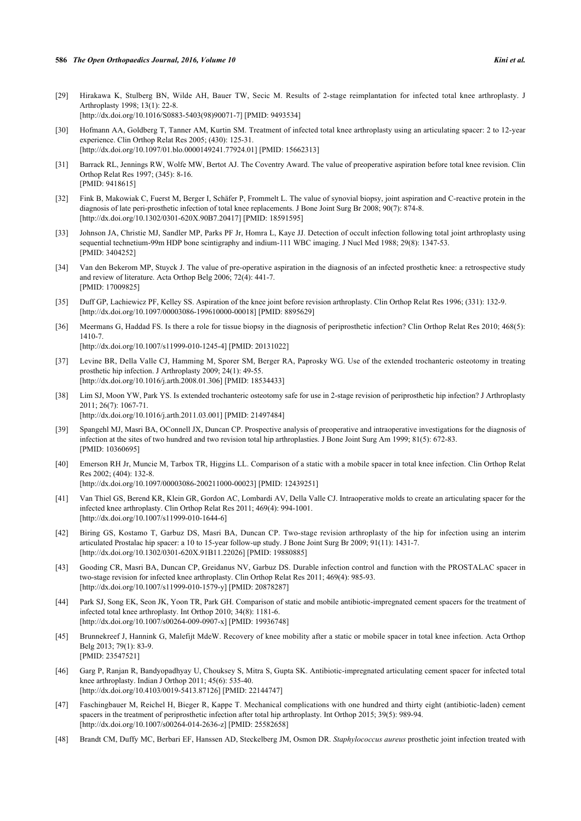- <span id="page-7-16"></span>[29] Hirakawa K, Stulberg BN, Wilde AH, Bauer TW, Secic M. Results of 2-stage reimplantation for infected total knee arthroplasty. J Arthroplasty 1998; 13(1): 22-8. [\[http://dx.doi.org/10.1016/S0883-5403\(98\)90071-7\]](http://dx.doi.org/10.1016/S0883-5403(98)90071-7) [PMID: [9493534](http://www.ncbi.nlm.nih.gov/pubmed/9493534)]
- <span id="page-7-0"></span>[30] Hofmann AA, Goldberg T, Tanner AM, Kurtin SM. Treatment of infected total knee arthroplasty using an articulating spacer: 2 to 12-year experience. Clin Orthop Relat Res 2005; (430): 125-31. [\[http://dx.doi.org/10.1097/01.blo.0000149241.77924.01](http://dx.doi.org/10.1097/01.blo.0000149241.77924.01)] [PMID: [15662313\]](http://www.ncbi.nlm.nih.gov/pubmed/15662313)
- <span id="page-7-1"></span>[31] Barrack RL, Jennings RW, Wolfe MW, Bertot AJ. The Coventry Award. The value of preoperative aspiration before total knee revision. Clin Orthop Relat Res 1997; (345): 8-16. [PMID: [9418615\]](http://www.ncbi.nlm.nih.gov/pubmed/9418615)
- [32] Fink B, Makowiak C, Fuerst M, Berger I, Schäfer P, Frommelt L. The value of synovial biopsy, joint aspiration and C-reactive protein in the diagnosis of late peri-prosthetic infection of total knee replacements. J Bone Joint Surg Br 2008; 90(7): 874-8. [\[http://dx.doi.org/10.1302/0301-620X.90B7.20417\]](http://dx.doi.org/10.1302/0301-620X.90B7.20417) [PMID: [18591595](http://www.ncbi.nlm.nih.gov/pubmed/18591595)]
- [33] Johnson JA, Christie MJ, Sandler MP, Parks PF Jr, Homra L, Kaye JJ. Detection of occult infection following total joint arthroplasty using sequential technetium-99m HDP bone scintigraphy and indium-111 WBC imaging. J Nucl Med 1988; 29(8): 1347-53. [PMID: [3404252\]](http://www.ncbi.nlm.nih.gov/pubmed/3404252)
- [34] Van den Bekerom MP, Stuyck J. The value of pre-operative aspiration in the diagnosis of an infected prosthetic knee: a retrospective study and review of literature. Acta Orthop Belg 2006; 72(4): 441-7. [PMID: [17009825\]](http://www.ncbi.nlm.nih.gov/pubmed/17009825)
- <span id="page-7-2"></span>[35] Duff GP, Lachiewicz PF, Kelley SS. Aspiration of the knee joint before revision arthroplasty. Clin Orthop Relat Res 1996; (331): 132-9. [\[http://dx.doi.org/10.1097/00003086-199610000-00018](http://dx.doi.org/10.1097/00003086-199610000-00018)] [PMID: [8895629\]](http://www.ncbi.nlm.nih.gov/pubmed/8895629)
- <span id="page-7-3"></span>[36] Meermans G, Haddad FS. Is there a role for tissue biopsy in the diagnosis of periprosthetic infection? Clin Orthop Relat Res 2010; 468(5): 1410-7.

[\[http://dx.doi.org/10.1007/s11999-010-1245-4\]](http://dx.doi.org/10.1007/s11999-010-1245-4) [PMID: [20131022](http://www.ncbi.nlm.nih.gov/pubmed/20131022)]

- <span id="page-7-4"></span>[37] Levine BR, Della Valle CJ, Hamming M, Sporer SM, Berger RA, Paprosky WG. Use of the extended trochanteric osteotomy in treating prosthetic hip infection. J Arthroplasty 2009; 24(1): 49-55. [\[http://dx.doi.org/10.1016/j.arth.2008.01.306](http://dx.doi.org/10.1016/j.arth.2008.01.306)] [PMID: [18534433](http://www.ncbi.nlm.nih.gov/pubmed/18534433)]
- <span id="page-7-5"></span>[38] Lim SJ, Moon YW, Park YS. Is extended trochanteric osteotomy safe for use in 2-stage revision of periprosthetic hip infection? J Arthroplasty 2011; 26(7): 1067-71.
	- [\[http://dx.doi.org/10.1016/j.arth.2011.03.001](http://dx.doi.org/10.1016/j.arth.2011.03.001)] [PMID: [21497484](http://www.ncbi.nlm.nih.gov/pubmed/21497484)]
- <span id="page-7-6"></span>[39] Spangehl MJ, Masri BA, OConnell JX, Duncan CP. Prospective analysis of preoperative and intraoperative investigations for the diagnosis of infection at the sites of two hundred and two revision total hip arthroplasties. J Bone Joint Surg Am 1999; 81(5): 672-83. [PMID: [10360695\]](http://www.ncbi.nlm.nih.gov/pubmed/10360695)
- <span id="page-7-7"></span>[40] Emerson RH Jr, Muncie M, Tarbox TR, Higgins LL. Comparison of a static with a mobile spacer in total knee infection. Clin Orthop Relat Res 2002; (404): 132-8. [\[http://dx.doi.org/10.1097/00003086-200211000-00023](http://dx.doi.org/10.1097/00003086-200211000-00023)] [PMID: [12439251\]](http://www.ncbi.nlm.nih.gov/pubmed/12439251)
- <span id="page-7-8"></span>[41] Van Thiel GS, Berend KR, Klein GR, Gordon AC, Lombardi AV, Della Valle CJ. Intraoperative molds to create an articulating spacer for the infected knee arthroplasty. Clin Orthop Relat Res 2011; 469(4): 994-1001. [\[http://dx.doi.org/10.1007/s11999-010-1644-6\]](http://dx.doi.org/10.1007/s11999-010-1644-6)
- <span id="page-7-9"></span>[42] Biring GS, Kostamo T, Garbuz DS, Masri BA, Duncan CP. Two-stage revision arthroplasty of the hip for infection using an interim articulated Prostalac hip spacer: a 10 to 15-year follow-up study. J Bone Joint Surg Br 2009; 91(11): 1431-7. [\[http://dx.doi.org/10.1302/0301-620X.91B11.22026\]](http://dx.doi.org/10.1302/0301-620X.91B11.22026) [PMID: [19880885](http://www.ncbi.nlm.nih.gov/pubmed/19880885)]
- <span id="page-7-10"></span>[43] Gooding CR, Masri BA, Duncan CP, Greidanus NV, Garbuz DS. Durable infection control and function with the PROSTALAC spacer in two-stage revision for infected knee arthroplasty. Clin Orthop Relat Res 2011; 469(4): 985-93. [\[http://dx.doi.org/10.1007/s11999-010-1579-y\]](http://dx.doi.org/10.1007/s11999-010-1579-y) [PMID: [20878287](http://www.ncbi.nlm.nih.gov/pubmed/20878287)]
- <span id="page-7-11"></span>[44] Park SJ, Song EK, Seon JK, Yoon TR, Park GH. Comparison of static and mobile antibiotic-impregnated cement spacers for the treatment of infected total knee arthroplasty. Int Orthop 2010; 34(8): 1181-6. [\[http://dx.doi.org/10.1007/s00264-009-0907-x\]](http://dx.doi.org/10.1007/s00264-009-0907-x) [PMID: [19936748](http://www.ncbi.nlm.nih.gov/pubmed/19936748)]
- <span id="page-7-12"></span>[45] Brunnekreef J, Hannink G, Malefijt MdeW. Recovery of knee mobility after a static or mobile spacer in total knee infection. Acta Orthop Belg 2013; 79(1): 83-9. [PMID: [23547521\]](http://www.ncbi.nlm.nih.gov/pubmed/23547521)
- <span id="page-7-13"></span>[46] Garg P, Ranjan R, Bandyopadhyay U, Chouksey S, Mitra S, Gupta SK. Antibiotic-impregnated articulating cement spacer for infected total knee arthroplasty. Indian J Orthop 2011; 45(6): 535-40. [\[http://dx.doi.org/10.4103/0019-5413.87126](http://dx.doi.org/10.4103/0019-5413.87126)] [PMID: [22144747](http://www.ncbi.nlm.nih.gov/pubmed/22144747)]
- <span id="page-7-14"></span>[47] Faschingbauer M, Reichel H, Bieger R, Kappe T. Mechanical complications with one hundred and thirty eight (antibiotic-laden) cement spacers in the treatment of periprosthetic infection after total hip arthroplasty. Int Orthop 2015; 39(5): 989-94. [\[http://dx.doi.org/10.1007/s00264-014-2636-z](http://dx.doi.org/10.1007/s00264-014-2636-z)] [PMID: [25582658](http://www.ncbi.nlm.nih.gov/pubmed/25582658)]
- <span id="page-7-15"></span>[48] Brandt CM, Duffy MC, Berbari EF, Hanssen AD, Steckelberg JM, Osmon DR. *Staphylococcus aureus* prosthetic joint infection treated with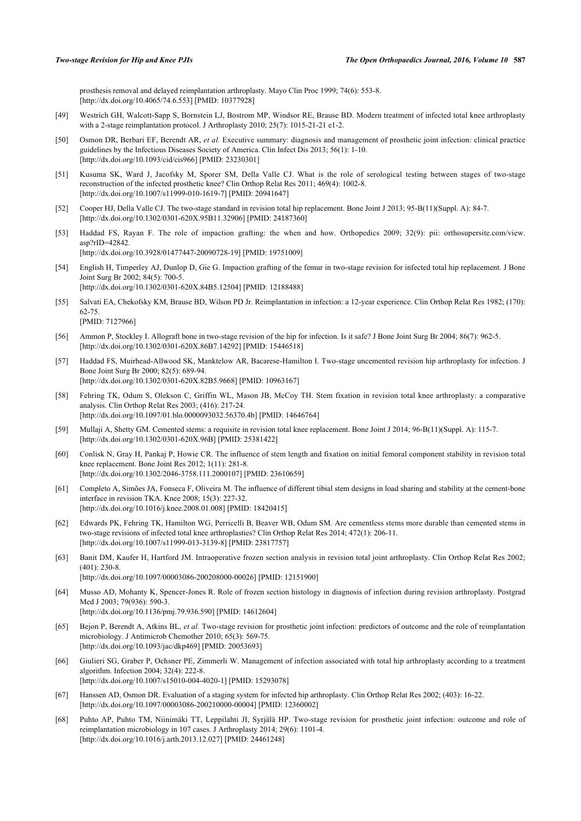prosthesis removal and delayed reimplantation arthroplasty. Mayo Clin Proc 1999; 74(6): 553-8. [\[http://dx.doi.org/10.4065/74.6.553\]](http://dx.doi.org/10.4065/74.6.553) [PMID: [10377928](http://www.ncbi.nlm.nih.gov/pubmed/10377928)]

- <span id="page-8-0"></span>[49] Westrich GH, Walcott-Sapp S, Bornstein LJ, Bostrom MP, Windsor RE, Brause BD. Modern treatment of infected total knee arthroplasty with a 2-stage reimplantation protocol. J Arthroplasty 2010; 25(7): 1015-21-21 e1-2.
- <span id="page-8-1"></span>[50] Osmon DR, Berbari EF, Berendt AR, *et al.* Executive summary: diagnosis and management of prosthetic joint infection: clinical practice guidelines by the Infectious Diseases Society of America. Clin Infect Dis 2013; 56(1): 1-10. [\[http://dx.doi.org/10.1093/cid/cis966\]](http://dx.doi.org/10.1093/cid/cis966) [PMID: [23230301](http://www.ncbi.nlm.nih.gov/pubmed/23230301)]
- <span id="page-8-2"></span>[51] Kusuma SK, Ward J, Jacofsky M, Sporer SM, Della Valle CJ. What is the role of serological testing between stages of two-stage reconstruction of the infected prosthetic knee? Clin Orthop Relat Res 2011; 469(4): 1002-8. [\[http://dx.doi.org/10.1007/s11999-010-1619-7\]](http://dx.doi.org/10.1007/s11999-010-1619-7) [PMID: [20941647](http://www.ncbi.nlm.nih.gov/pubmed/20941647)]
- <span id="page-8-3"></span>[52] Cooper HJ, Della Valle CJ. The two-stage standard in revision total hip replacement. Bone Joint J 2013; 95-B(11)(Suppl. A): 84-7. [\[http://dx.doi.org/10.1302/0301-620X.95B11.32906\]](http://dx.doi.org/10.1302/0301-620X.95B11.32906) [PMID: [24187360](http://www.ncbi.nlm.nih.gov/pubmed/24187360)]
- <span id="page-8-4"></span>[53] Haddad FS, Rayan F. The role of impaction grafting: the when and how. Orthopedics 2009; 32(9): pii: orthosupersite.com/view. asp?rID=42842. [\[http://dx.doi.org/10.3928/01477447-20090728-19](http://dx.doi.org/10.3928/01477447-20090728-19)] [PMID: [19751009\]](http://www.ncbi.nlm.nih.gov/pubmed/19751009)
- <span id="page-8-5"></span>[54] English H, Timperley AJ, Dunlop D, Gie G. Impaction grafting of the femur in two-stage revision for infected total hip replacement. J Bone Joint Surg Br 2002; 84(5): 700-5. [\[http://dx.doi.org/10.1302/0301-620X.84B5.12504\]](http://dx.doi.org/10.1302/0301-620X.84B5.12504) [PMID: [12188488](http://www.ncbi.nlm.nih.gov/pubmed/12188488)]
- <span id="page-8-6"></span>[55] Salvati EA, Chekofsky KM, Brause BD, Wilson PD Jr. Reimplantation in infection: a 12-year experience. Clin Orthop Relat Res 1982; (170): 62-75. [PMID: [7127966\]](http://www.ncbi.nlm.nih.gov/pubmed/7127966)
- <span id="page-8-7"></span>[56] Ammon P, Stockley I. Allograft bone in two-stage revision of the hip for infection. Is it safe? J Bone Joint Surg Br 2004; 86(7): 962-5. [\[http://dx.doi.org/10.1302/0301-620X.86B7.14292\]](http://dx.doi.org/10.1302/0301-620X.86B7.14292) [PMID: [15446518](http://www.ncbi.nlm.nih.gov/pubmed/15446518)]
- <span id="page-8-8"></span>[57] Haddad FS, Muirhead-Allwood SK, Manktelow AR, Bacarese-Hamilton I. Two-stage uncemented revision hip arthroplasty for infection. J Bone Joint Surg Br 2000; 82(5): 689-94. [\[http://dx.doi.org/10.1302/0301-620X.82B5.9668\]](http://dx.doi.org/10.1302/0301-620X.82B5.9668) [PMID: [10963167](http://www.ncbi.nlm.nih.gov/pubmed/10963167)]
- <span id="page-8-9"></span>[58] Fehring TK, Odum S, Olekson C, Griffin WL, Mason JB, McCoy TH. Stem fixation in revision total knee arthroplasty: a comparative analysis. Clin Orthop Relat Res 2003; (416): 217-24. [\[http://dx.doi.org/10.1097/01.blo.0000093032.56370.4b](http://dx.doi.org/10.1097/01.blo.0000093032.56370.4b)] [PMID: [14646764\]](http://www.ncbi.nlm.nih.gov/pubmed/14646764)
- <span id="page-8-10"></span>[59] Mullaji A, Shetty GM. Cemented stems: a requisite in revision total knee replacement. Bone Joint J 2014; 96-B(11)(Suppl. A): 115-7. [\[http://dx.doi.org/10.1302/0301-620X.96B\]](http://dx.doi.org/10.1302/0301-620X.96B) [PMID: [25381422](http://www.ncbi.nlm.nih.gov/pubmed/25381422)]
- <span id="page-8-11"></span>[60] Conlisk N, Gray H, Pankaj P, Howie CR. The influence of stem length and fixation on initial femoral component stability in revision total knee replacement. Bone Joint Res 2012; 1(11): 281-8. [\[http://dx.doi.org/10.1302/2046-3758.111.2000107](http://dx.doi.org/10.1302/2046-3758.111.2000107)] [PMID: [23610659](http://www.ncbi.nlm.nih.gov/pubmed/23610659)]
- <span id="page-8-12"></span>[61] Completo A, Simões JA, Fonseca F, Oliveira M. The influence of different tibial stem designs in load sharing and stability at the cement-bone interface in revision TKA. Knee 2008; 15(3): 227-32. [\[http://dx.doi.org/10.1016/j.knee.2008.01.008](http://dx.doi.org/10.1016/j.knee.2008.01.008)] [PMID: [18420415\]](http://www.ncbi.nlm.nih.gov/pubmed/18420415)
- <span id="page-8-13"></span>[62] Edwards PK, Fehring TK, Hamilton WG, Perricelli B, Beaver WB, Odum SM. Are cementless stems more durable than cemented stems in two-stage revisions of infected total knee arthroplasties? Clin Orthop Relat Res 2014; 472(1): 206-11. [\[http://dx.doi.org/10.1007/s11999-013-3139-8\]](http://dx.doi.org/10.1007/s11999-013-3139-8) [PMID: [23817757](http://www.ncbi.nlm.nih.gov/pubmed/23817757)]
- <span id="page-8-14"></span>[63] Banit DM, Kaufer H, Hartford JM. Intraoperative frozen section analysis in revision total joint arthroplasty. Clin Orthop Relat Res 2002; (401): 230-8. [\[http://dx.doi.org/10.1097/00003086-200208000-00026](http://dx.doi.org/10.1097/00003086-200208000-00026)] [PMID: [12151900\]](http://www.ncbi.nlm.nih.gov/pubmed/12151900)
- <span id="page-8-15"></span>[64] Musso AD, Mohanty K, Spencer-Jones R. Role of frozen section histology in diagnosis of infection during revision arthroplasty. Postgrad Med J 2003; 79(936): 590-3. [\[http://dx.doi.org/10.1136/pmj.79.936.590](http://dx.doi.org/10.1136/pmj.79.936.590)] [PMID: [14612604\]](http://www.ncbi.nlm.nih.gov/pubmed/14612604)
- <span id="page-8-16"></span>[65] Bejon P, Berendt A, Atkins BL, *et al.* Two-stage revision for prosthetic joint infection: predictors of outcome and the role of reimplantation microbiology. J Antimicrob Chemother 2010; 65(3): 569-75. [\[http://dx.doi.org/10.1093/jac/dkp469](http://dx.doi.org/10.1093/jac/dkp469)] [PMID: [20053693\]](http://www.ncbi.nlm.nih.gov/pubmed/20053693)
- [66] Giulieri SG, Graber P, Ochsner PE, Zimmerli W. Management of infection associated with total hip arthroplasty according to a treatment algorithm. Infection 2004; 32(4): 222-8. [\[http://dx.doi.org/10.1007/s15010-004-4020-1\]](http://dx.doi.org/10.1007/s15010-004-4020-1) [PMID: [15293078](http://www.ncbi.nlm.nih.gov/pubmed/15293078)]
- <span id="page-8-17"></span>[67] Hanssen AD, Osmon DR. Evaluation of a staging system for infected hip arthroplasty. Clin Orthop Relat Res 2002; (403): 16-22. [\[http://dx.doi.org/10.1097/00003086-200210000-00004](http://dx.doi.org/10.1097/00003086-200210000-00004)] [PMID: [12360002\]](http://www.ncbi.nlm.nih.gov/pubmed/12360002)
- <span id="page-8-18"></span>[68] Puhto AP, Puhto TM, Niinimäki TT, Leppilahti JI, Syrjälä HP. Two-stage revision for prosthetic joint infection: outcome and role of reimplantation microbiology in 107 cases. J Arthroplasty 2014; 29(6): 1101-4. [\[http://dx.doi.org/10.1016/j.arth.2013.12.027](http://dx.doi.org/10.1016/j.arth.2013.12.027)] [PMID: [24461248](http://www.ncbi.nlm.nih.gov/pubmed/24461248)]